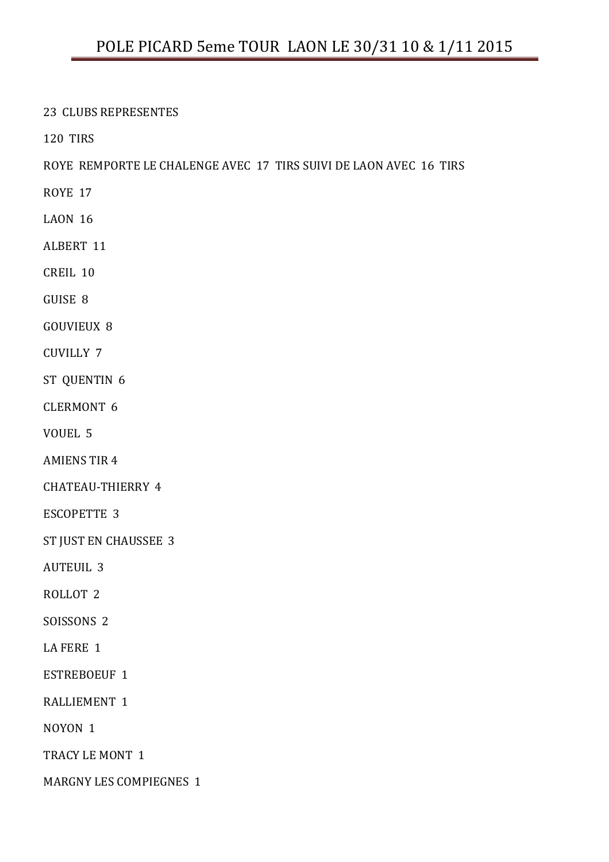23 CLUBS REPRESENTES

120 TIRS

ROYE REMPORTE LE CHALENGE AVEC 17 TIRS SUIVI DE LAON AVEC 16 TIRS

- ROYE 17
- LAON 16
- ALBERT 11
- CREIL 10
- GUISE 8
- GOUVIEUX 8
- CUVILLY 7
- ST QUENTIN 6
- CLERMONT 6
- VOUEL 5
- AMIENS TIR 4
- CHATEAU-THIERRY 4
- ESCOPETTE 3
- ST JUST EN CHAUSSEE 3
- AUTEUIL 3
- ROLLOT 2
- SOISSONS 2
- LA FERE 1
- ESTREBOEUF 1
- RALLIEMENT 1
- NOYON 1
- TRACY LE MONT 1
- MARGNY LES COMPIEGNES 1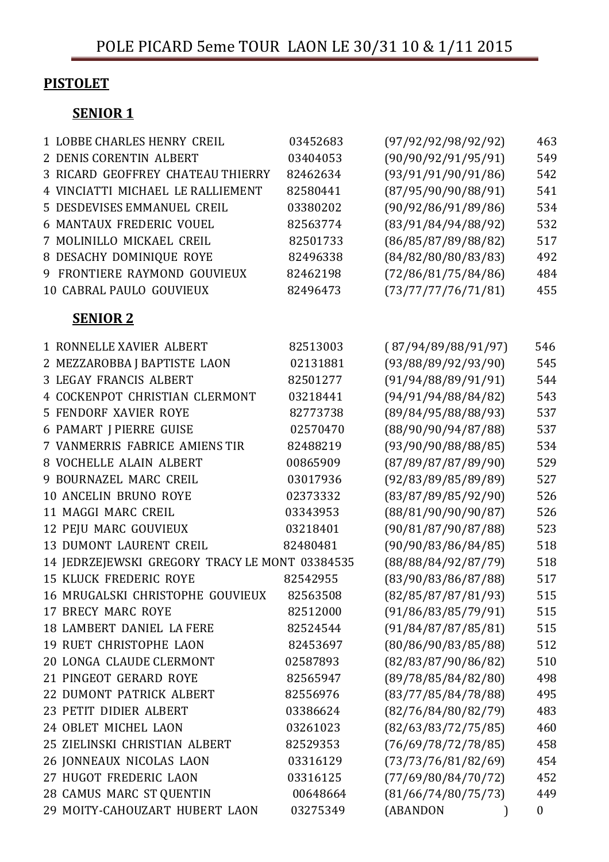# **PISTOLET**

## SENIOR<sub>1</sub>

| <b>1 LOBBE CHARLES HENRY CREIL</b>             | 03452683 | (97/92/92/98/92/92) | 463              |
|------------------------------------------------|----------|---------------------|------------------|
| 2 DENIS CORENTIN ALBERT                        | 03404053 | (90/90/92/91/95/91) | 549              |
| <b>3 RICARD GEOFFREY CHATEAU THIERRY</b>       | 82462634 | (93/91/91/90/91/86) | 542              |
| 4 VINCIATTI MICHAEL LE RALLIEMENT              | 82580441 | (87/95/90/90/88/91) | 541              |
| 5 DESDEVISES EMMANUEL CREIL                    | 03380202 | (90/92/86/91/89/86) | 534              |
| <b>6 MANTAUX FREDERIC VOUEL</b>                | 82563774 | (83/91/84/94/88/92) | 532              |
| 7 MOLINILLO MICKAEL CREIL                      | 82501733 | (86/85/87/89/88/82) | 517              |
| 8 DESACHY DOMINIQUE ROYE                       | 82496338 | (84/82/80/80/83/83) | 492              |
| <b>9 FRONTIERE RAYMOND GOUVIEUX</b>            | 82462198 | (72/86/81/75/84/86) | 484              |
| 10 CABRAL PAULO GOUVIEUX                       | 82496473 | (73/77/77/76/71/81) | 455              |
| <b>SENIOR 2</b>                                |          |                     |                  |
| 1 RONNELLE XAVIER ALBERT                       | 82513003 | (87/94/89/88/91/97) | 546              |
| 2 MEZZAROBBA J BAPTISTE LAON                   | 02131881 | (93/88/89/92/93/90) | 545              |
| <b>3 LEGAY FRANCIS ALBERT</b>                  | 82501277 | (91/94/88/89/91/91) | 544              |
| <b>4 COCKENPOT CHRISTIAN CLERMONT</b>          | 03218441 | (94/91/94/88/84/82) | 543              |
| <b>5 FENDORF XAVIER ROYE</b>                   | 82773738 | (89/84/95/88/88/93) | 537              |
| <b>6 PAMART   PIERRE GUISE</b>                 | 02570470 | (88/90/90/94/87/88) | 537              |
| 7 VANMERRIS FABRICE AMIENS TIR                 | 82488219 | (93/90/90/88/88/85) | 534              |
| 8 VOCHELLE ALAIN ALBERT                        | 00865909 | (87/89/87/87/89/90) | 529              |
| 9 BOURNAZEL MARC CREIL                         | 03017936 | (92/83/89/85/89/89) | 527              |
| <b>10 ANCELIN BRUNO ROYE</b>                   | 02373332 | (83/87/89/85/92/90) | 526              |
| 11 MAGGI MARC CREIL                            | 03343953 | (88/81/90/90/90/87) | 526              |
| 12 PEJU MARC GOUVIEUX                          | 03218401 | (90/81/87/90/87/88) | 523              |
| <b>13 DUMONT LAURENT CREIL</b>                 | 82480481 | (90/90/83/86/84/85) | 518              |
| 14 JEDRZEJEWSKI GREGORY TRACY LE MONT 03384535 |          | (88/88/84/92/87/79) | 518              |
| <b>15 KLUCK FREDERIC ROYE</b>                  | 82542955 | (83/90/83/86/87/88) | 517              |
| 16 MRUGALSKI CHRISTOPHE GOUVIEUX               | 82563508 | (82/85/87/87/81/93) | 515              |
| <b>17 BRECY MARC ROYE</b>                      | 82512000 | (91/86/83/85/79/91) | 515              |
| 18 LAMBERT DANIEL LA FERE                      | 82524544 | (91/84/87/87/85/81) | 515              |
| <b>19 RUET CHRISTOPHE LAON</b>                 | 82453697 | (80/86/90/83/85/88) | 512              |
| 20 LONGA CLAUDE CLERMONT                       | 02587893 | (82/83/87/90/86/82) | 510              |
| 21 PINGEOT GERARD ROYE                         | 82565947 | (89/78/85/84/82/80) | 498              |
| 22 DUMONT PATRICK ALBERT                       | 82556976 | (83/77/85/84/78/88) | 495              |
| 23 PETIT DIDIER ALBERT                         | 03386624 | (82/76/84/80/82/79) | 483              |
| 24 OBLET MICHEL LAON                           | 03261023 | (82/63/83/72/75/85) | 460              |
| 25 ZIELINSKI CHRISTIAN ALBERT                  | 82529353 | (76/69/78/72/78/85) | 458              |
| 26 JONNEAUX NICOLAS LAON                       | 03316129 | (73/73/76/81/82/69) | 454              |
| 27 HUGOT FREDERIC LAON                         | 03316125 | (77/69/80/84/70/72) | 452              |
| 28 CAMUS MARC ST QUENTIN                       | 00648664 | (81/66/74/80/75/73) | 449              |
| 29 MOITY-CAHOUZART HUBERT LAON                 | 03275349 | (ABANDON            | $\boldsymbol{0}$ |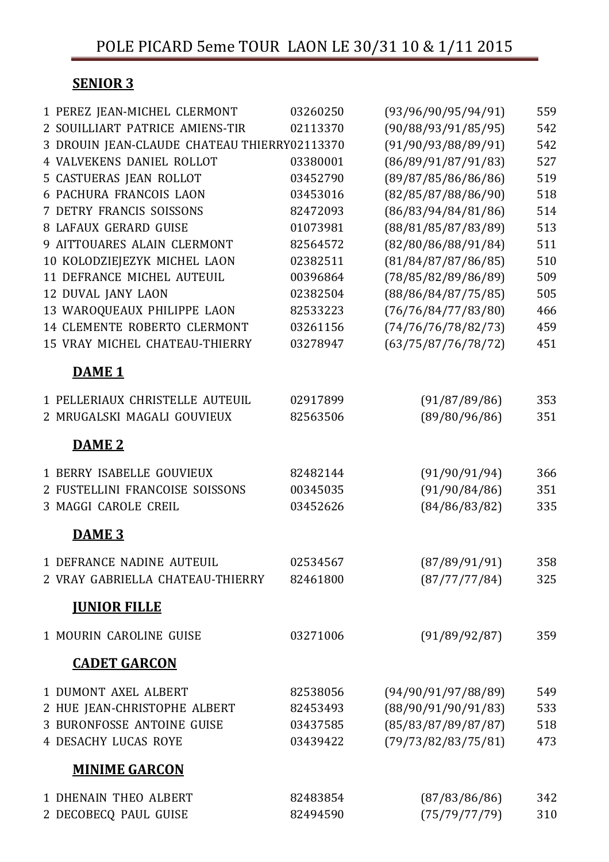## SENIOR 3

| 1 PEREZ JEAN-MICHEL CLERMONT                 | 03260250 | (93/96/90/95/94/91) | 559 |
|----------------------------------------------|----------|---------------------|-----|
| 2 SOUILLIART PATRICE AMIENS-TIR              | 02113370 | (90/88/93/91/85/95) | 542 |
| 3 DROUIN JEAN-CLAUDE CHATEAU THIERRY02113370 |          | (91/90/93/88/89/91) | 542 |
| <b>4 VALVEKENS DANIEL ROLLOT</b>             | 03380001 | (86/89/91/87/91/83) | 527 |
| <b>5 CASTUERAS JEAN ROLLOT</b>               | 03452790 | (89/87/85/86/86/86) | 519 |
| <b>6 PACHURA FRANCOIS LAON</b>               | 03453016 | (82/85/87/88/86/90) | 518 |
| <b>7 DETRY FRANCIS SOISSONS</b>              | 82472093 | (86/83/94/84/81/86) | 514 |
| <b>8 LAFAUX GERARD GUISE</b>                 | 01073981 | (88/81/85/87/83/89) | 513 |
| <b>9 AITTOUARES ALAIN CLERMONT</b>           | 82564572 | (82/80/86/88/91/84) | 511 |
| 10 KOLODZIEJEZYK MICHEL LAON                 | 02382511 | (81/84/87/87/86/85) | 510 |
| 11 DEFRANCE MICHEL AUTEUIL                   | 00396864 | (78/85/82/89/86/89) | 509 |
| <b>12 DUVAL JANY LAON</b>                    | 02382504 | (88/86/84/87/75/85) | 505 |
| 13 WAROQUEAUX PHILIPPE LAON                  | 82533223 | (76/76/84/77/83/80) | 466 |
| 14 CLEMENTE ROBERTO CLERMONT                 | 03261156 | (74/76/76/78/82/73) | 459 |
| 15 VRAY MICHEL CHATEAU-THIERRY               | 03278947 | (63/75/87/76/78/72) | 451 |
| DAME <sub>1</sub>                            |          |                     |     |
| 1 PELLERIAUX CHRISTELLE AUTEUIL              | 02917899 | (91/87/89/86)       | 353 |
| 2 MRUGALSKI MAGALI GOUVIEUX                  | 82563506 | (89/80/96/86)       | 351 |
|                                              |          |                     |     |
| DAME <sub>2</sub>                            |          |                     |     |
| <b>1 BERRY ISABELLE GOUVIEUX</b>             | 82482144 | (91/90/91/94)       | 366 |
| 2 FUSTELLINI FRANCOISE SOISSONS              | 00345035 | (91/90/84/86)       | 351 |
| <b>3 MAGGI CAROLE CREIL</b>                  | 03452626 | (84/86/83/82)       | 335 |
| DAME <sub>3</sub>                            |          |                     |     |
| 1 DEFRANCE NADINE AUTEUIL                    | 02534567 | (87/89/91/91)       | 358 |
| 2 VRAY GABRIELLA CHATEAU-THIERRY             | 82461800 | (87/77/77/84)       | 325 |
| <b>JUNIOR FILLE</b>                          |          |                     |     |
| 1 MOURIN CAROLINE GUISE                      | 03271006 | (91/89/92/87)       | 359 |
| <b>CADET GARCON</b>                          |          |                     |     |
| 1 DUMONT AXEL ALBERT                         | 82538056 | (94/90/91/97/88/89) | 549 |
| 2 HUE JEAN-CHRISTOPHE ALBERT                 | 82453493 | (88/90/91/90/91/83) | 533 |
| <b>3 BURONFOSSE ANTOINE GUISE</b>            | 03437585 | (85/83/87/89/87/87) | 518 |
| <b>4 DESACHY LUCAS ROYE</b>                  | 03439422 | (79/73/82/83/75/81) | 473 |
| <b>MINIME GARCON</b>                         |          |                     |     |
|                                              |          |                     |     |
| <b>1 DHENAIN THEO ALBERT</b>                 | 82483854 | (87/83/86/86)       | 342 |
| 2 DECOBECQ PAUL GUISE                        | 82494590 | (75/79/77/79)       | 310 |
|                                              |          |                     |     |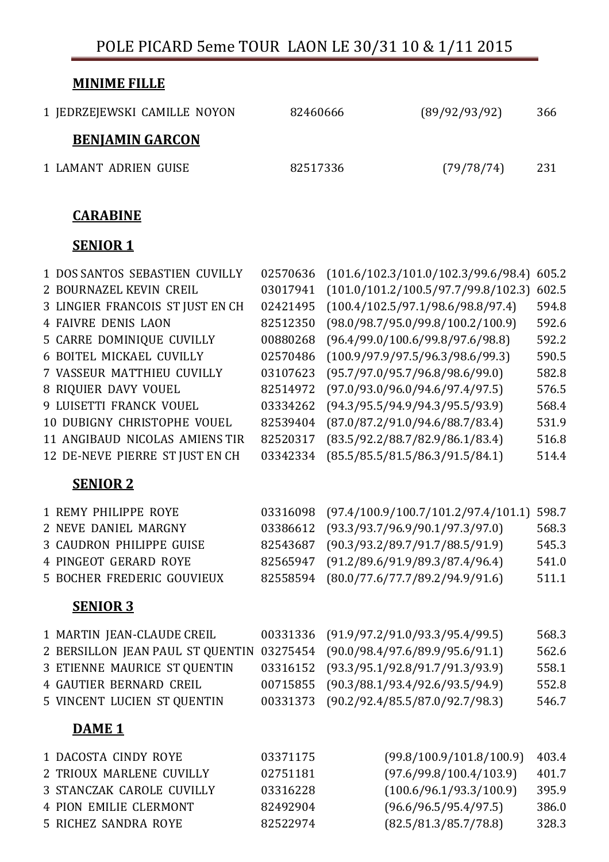POLE PICARD 5eme TOUR LAON LE 30/31 10 & 1/11 2015

| <b>MINIME FILLE</b>          |          |               |     |
|------------------------------|----------|---------------|-----|
| 1 JEDRZEJEWSKI CAMILLE NOYON | 82460666 | (89/92/93/92) | 366 |
| <b>BENJAMIN GARCON</b>       |          |               |     |
| 1 LAMANT ADRIEN GUISE        | 82517336 | (79/78/74)    | 231 |
|                              |          |               |     |
| <b>CARABINE</b>              |          |               |     |

#### SENIOR<sub>1</sub>

| 1 DOS SANTOS SEBASTIEN CUVILLY     | 02570636 | (101.6/102.3/101.0/102.3/99.6/98.4) | 605.2 |
|------------------------------------|----------|-------------------------------------|-------|
| 2 BOURNAZEL KEVIN CREIL            | 03017941 | (101.0/101.2/100.5/97.7/99.8/102.3) | 602.5 |
| 3 LINGIER FRANCOIS ST JUST EN CH   | 02421495 | (100.4/102.5/97.1/98.6/98.8/97.4)   | 594.8 |
| <b>4 FAIVRE DENIS LAON</b>         | 82512350 | (98.0/98.7/95.0/99.8/100.2/100.9)   | 592.6 |
| <b>5 CARRE DOMINIQUE CUVILLY</b>   | 00880268 | (96.4/99.0/100.6/99.8/97.6/98.8)    | 592.2 |
| <b>6 BOITEL MICKAEL CUVILLY</b>    | 02570486 | (100.9/97.9/97.5/96.3/98.6/99.3)    | 590.5 |
| <b>7 VASSEUR MATTHIEU CUVILLY</b>  | 03107623 | (95.7/97.0/95.7/96.8/98.6/99.0)     | 582.8 |
| 8 RIQUIER DAVY VOUEL               | 82514972 | (97.0/93.0/96.0/94.6/97.4/97.5)     | 576.5 |
| 9 LUISETTI FRANCK VOUEL            | 03334262 | (94.3/95.5/94.9/94.3/95.5/93.9)     | 568.4 |
| <b>10 DUBIGNY CHRISTOPHE VOUEL</b> | 82539404 | (87.0/87.2/91.0/94.6/88.7/83.4)     | 531.9 |
| 11 ANGIBAUD NICOLAS AMIENS TIR     | 82520317 | (83.5/92.2/88.7/82.9/86.1/83.4)     | 516.8 |
| 12 DE-NEVE PIERRE ST JUST EN CH    | 03342334 | (85.5/85.5/81.5/86.3/91.5/84.1)     | 514.4 |
| <b>SENIOR 2</b>                    |          |                                     |       |
| 1 REMY PHILIPPE ROYE               | 03316098 | (97.4/100.9/100.7/101.2/97.4/101.1) | 598.7 |
| 2 NEVE DANIEL MARGNY               | 03386612 | (93.3/93.7/96.9/90.1/97.3/97.0)     | 568.3 |
| <b>3 CAUDRON PHILIPPE GUISE</b>    | 82543687 | (90.3/93.2/89.7/91.7/88.5/91.9)     | 545.3 |
| <b>4 PINGEOT GERARD ROYE</b>       | 82565947 | (91.2/89.6/91.9/89.3/87.4/96.4)     | 541.0 |
| <b>5 BOCHER FREDERIC GOUVIEUX</b>  | 82558594 | (80.0/77.6/77.7/89.2/94.9/91.6)     | 511.1 |
| <b>SENIOR 3</b>                    |          |                                     |       |
| 1 MARTIN JEAN-CLAUDE CREIL         | 00331336 | (91.9/97.2/91.0/93.3/95.4/99.5)     | 568.3 |
| 2 BERSILLON JEAN PAUL ST QUENTIN   | 03275454 | (90.0/98.4/97.6/89.9/95.6/91.1)     | 562.6 |
| 3 ETIENNE MAURICE ST QUENTIN       | 03316152 | (93.3/95.1/92.8/91.7/91.3/93.9)     | 558.1 |
| <b>4 GAUTIER BERNARD CREIL</b>     | 00715855 | (90.3/88.1/93.4/92.6/93.5/94.9)     | 552.8 |
| 5 VINCENT LUCIEN ST QUENTIN        | 00331373 | (90.2/92.4/85.5/87.0/92.7/98.3)     | 546.7 |
| DAME <sub>1</sub>                  |          |                                     |       |
| 1 DACOSTA CINDY ROYE               | 03371175 | (99.8/100.9/101.8/100.9)            | 403.4 |
| 2 TRIOUX MARLENE CUVILLY           | 02751181 | (97.6/99.8/100.4/103.9)             | 401.7 |
| <b>3 STANCZAK CAROLE CUVILLY</b>   | 03316228 | (100.6/96.1/93.3/100.9)             | 395.9 |
| <b>4 PION EMILIE CLERMONT</b>      | 82492904 | (96.6/96.5/95.4/97.5)               | 386.0 |

5 RICHEZ SANDRA ROYE 82522974 (82.5/81.3/85.7/78.8) 328.3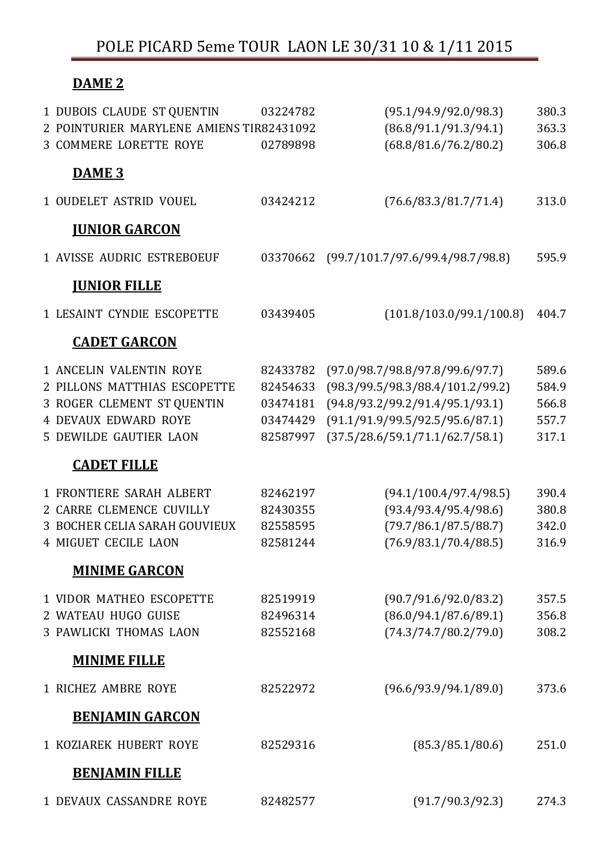## POLE PICARD 5eme TOUR LAON LE 30/31 10 & 1/11 2015

# DAME<sub>2</sub>

| 1 DUBOIS CLAUDE ST QUENTIN               | 03224782 | (95.1/94.9/92.0/98.3)            | 380.3 |
|------------------------------------------|----------|----------------------------------|-------|
| 2 POINTURIER MARYLENE AMIENS TIR82431092 |          | (86.8/91.1/91.3/94.1)            | 363.3 |
| <b>3 COMMERE LORETTE ROYE</b>            | 02789898 | (68.8/81.6/76.2/80.2)            | 306.8 |
| DAME <sub>3</sub>                        |          |                                  |       |
| <b>1 OUDELET ASTRID VOUEL</b>            | 03424212 | (76.6/83.3/81.7/71.4)            | 313.0 |
| <b>JUNIOR GARCON</b>                     |          |                                  |       |
| <b>1 AVISSE AUDRIC ESTREBOEUF</b>        | 03370662 | (99.7/101.7/97.6/99.4/98.7/98.8) | 595.9 |
| <b>JUNIOR FILLE</b>                      |          |                                  |       |
| <b>1 LESAINT CYNDIE ESCOPETTE</b>        | 03439405 | (101.8/103.0/99.1/100.8)         | 404.7 |
| <b>CADET GARCON</b>                      |          |                                  |       |
| <b>1 ANCELIN VALENTIN ROYE</b>           | 82433782 | (97.0/98.7/98.8/97.8/99.6/97.7)  | 589.6 |
| 2 PILLONS MATTHIAS ESCOPETTE             | 82454633 | (98.3/99.5/98.3/88.4/101.2/99.2) | 584.9 |
| 3 ROGER CLEMENT ST QUENTIN               | 03474181 | (94.8/93.2/99.2/91.4/95.1/93.1)  | 566.8 |
| <b>4 DEVAUX EDWARD ROYE</b>              | 03474429 | (91.1/91.9/99.5/92.5/95.6/87.1)  | 557.7 |
| <b>5 DEWILDE GAUTIER LAON</b>            | 82587997 | (37.5/28.6/59.1/71.1/62.7/58.1)  | 317.1 |
| <b>CADET FILLE</b>                       |          |                                  |       |
| <b>1 FRONTIERE SARAH ALBERT</b>          | 82462197 | (94.1/100.4/97.4/98.5)           | 390.4 |
| <b>2 CARRE CLEMENCE CUVILLY</b>          | 82430355 | (93.4/93.4/95.4/98.6)            | 380.8 |
| <b>3 BOCHER CELIA SARAH GOUVIEUX</b>     | 82558595 | (79.7/86.1/87.5/88.7)            | 342.0 |
| <b>4 MIGUET CECILE LAON</b>              | 82581244 | (76.9/83.1/70.4/88.5)            | 316.9 |
| <b>MINIME GARCON</b>                     |          |                                  |       |
| <b>1 VIDOR MATHEO ESCOPETTE</b>          | 82519919 | (90.7/91.6/92.0/83.2)            | 357.5 |
| 2 WATEAU HUGO GUISE                      | 82496314 | (86.0/94.1/87.6/89.1)            | 356.8 |
| <b>3 PAWLICKI THOMAS LAON</b>            | 82552168 | (74.3/74.7/80.2/79.0)            | 308.2 |
| <b>MINIME FILLE</b>                      |          |                                  |       |
| <b>1 RICHEZ AMBRE ROYE</b>               | 82522972 | (96.6/93.9/94.1/89.0)            | 373.6 |
| <b>BENJAMIN GARCON</b>                   |          |                                  |       |
| <b>1 KOZIAREK HUBERT ROYE</b>            | 82529316 | (85.3/85.1/80.6)                 | 251.0 |
| <b>BENJAMIN FILLE</b>                    |          |                                  |       |
| 1 DEVAUX CASSANDRE ROYE                  | 82482577 | (91.7/90.3/92.3)                 | 274.3 |